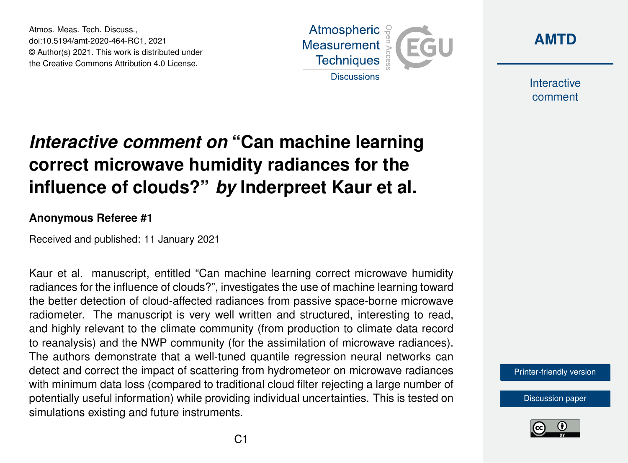Atmos. Meas. Tech. Discuss., doi:10.5194/amt-2020-464-RC1, 2021 © Author(s) 2021. This work is distributed under the Creative Commons Attribution 4.0 License.





**Interactive** comment

## *Interactive comment on* **"Can machine learning correct microwave humidity radiances for the influence of clouds?"** *by* **Inderpreet Kaur et al.**

## **Anonymous Referee #1**

Received and published: 11 January 2021

Kaur et al. manuscript, entitled "Can machine learning correct microwave humidity radiances for the influence of clouds?", investigates the use of machine learning toward the better detection of cloud-affected radiances from passive space-borne microwave radiometer. The manuscript is very well written and structured, interesting to read, and highly relevant to the climate community (from production to climate data record to reanalysis) and the NWP community (for the assimilation of microwave radiances). The authors demonstrate that a well-tuned quantile regression neural networks can detect and correct the impact of scattering from hydrometeor on microwave radiances with minimum data loss (compared to traditional cloud filter rejecting a large number of potentially useful information) while providing individual uncertainties. This is tested on simulations existing and future instruments.

[Printer-friendly version](https://amt.copernicus.org/preprints/amt-2020-464/amt-2020-464-RC1-print.pdf)

[Discussion paper](https://amt.copernicus.org/preprints/amt-2020-464)

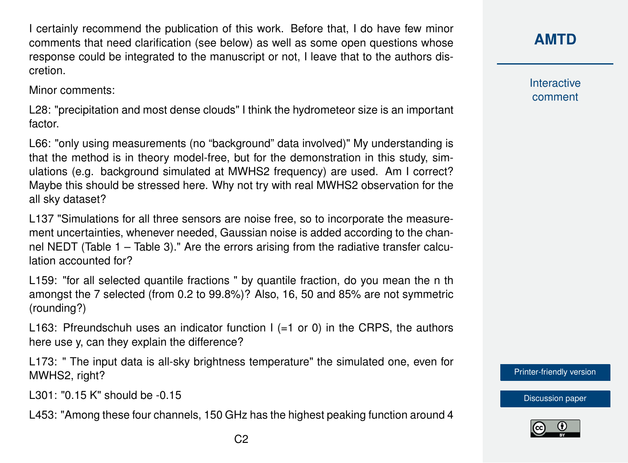I certainly recommend the publication of this work. Before that, I do have few minor comments that need clarification (see below) as well as some open questions whose response could be integrated to the manuscript or not, I leave that to the authors discretion.

Minor comments:

L28: "precipitation and most dense clouds" I think the hydrometeor size is an important factor.

L66: "only using measurements (no "background" data involved)" My understanding is that the method is in theory model-free, but for the demonstration in this study, simulations (e.g. background simulated at MWHS2 frequency) are used. Am I correct? Maybe this should be stressed here. Why not try with real MWHS2 observation for the all sky dataset?

L137 "Simulations for all three sensors are noise free, so to incorporate the measurement uncertainties, whenever needed, Gaussian noise is added according to the channel NEDT (Table 1 – Table 3)." Are the errors arising from the radiative transfer calculation accounted for?

L159: "for all selected quantile fractions " by quantile fraction, do you mean the n th amongst the 7 selected (from 0.2 to 99.8%)? Also, 16, 50 and 85% are not symmetric (rounding?)

L163: Pfreundschuh uses an indicator function  $I$  (=1 or 0) in the CRPS, the authors here use y, can they explain the difference?

L173: " The input data is all-sky brightness temperature" the simulated one, even for MWHS2, right?

L301: "0.15 K" should be -0.15

L453: "Among these four channels, 150 GHz has the highest peaking function around 4

**Interactive** comment

[Printer-friendly version](https://amt.copernicus.org/preprints/amt-2020-464/amt-2020-464-RC1-print.pdf)

[Discussion paper](https://amt.copernicus.org/preprints/amt-2020-464)